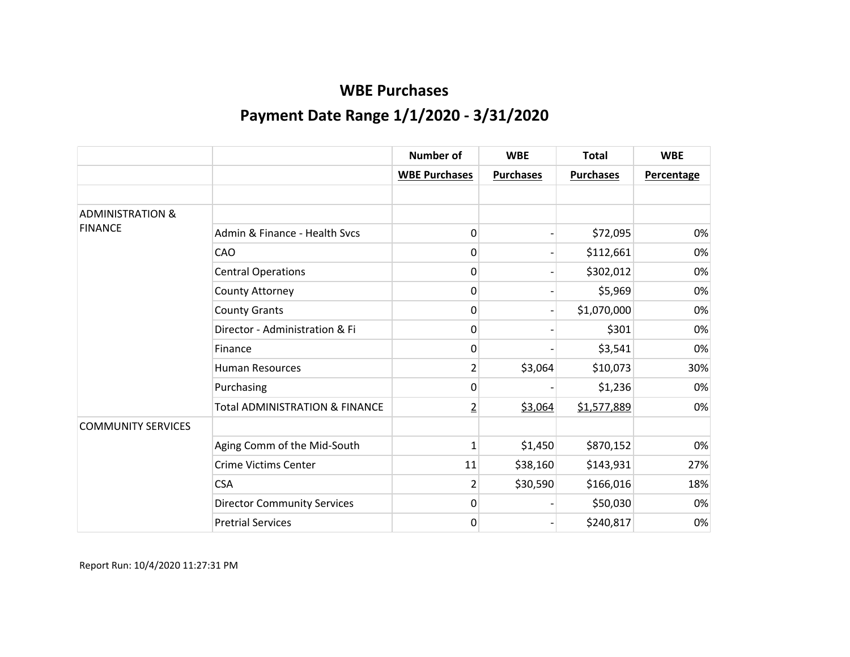|                             |                                           | <b>Number of</b>     | <b>WBE</b>       | <b>Total</b>     | <b>WBE</b>        |
|-----------------------------|-------------------------------------------|----------------------|------------------|------------------|-------------------|
|                             |                                           | <b>WBE Purchases</b> | <b>Purchases</b> | <b>Purchases</b> | <b>Percentage</b> |
|                             |                                           |                      |                  |                  |                   |
| <b>ADMINISTRATION &amp;</b> |                                           |                      |                  |                  |                   |
| <b>FINANCE</b>              | Admin & Finance - Health Sycs             | 0                    |                  | \$72,095         | 0%                |
|                             | CAO                                       | 0                    |                  | \$112,661        | 0%                |
|                             | <b>Central Operations</b>                 | 0                    |                  | \$302,012        | 0%                |
|                             | County Attorney                           | 0                    |                  | \$5,969          | 0%                |
|                             | <b>County Grants</b>                      | 0                    |                  | \$1,070,000      | 0%                |
|                             | Director - Administration & Fi            | 0                    |                  | \$301            | 0%                |
|                             | Finance                                   | 0                    |                  | \$3,541          | 0%                |
|                             | <b>Human Resources</b>                    | $\overline{2}$       | \$3,064          | \$10,073         | 30%               |
|                             | Purchasing                                | 0                    |                  | \$1,236          | 0%                |
|                             | <b>Total ADMINISTRATION &amp; FINANCE</b> | $\overline{2}$       | \$3,064          | \$1,577,889      | 0%                |
| <b>COMMUNITY SERVICES</b>   |                                           |                      |                  |                  |                   |
|                             | Aging Comm of the Mid-South               | 1                    | \$1,450          | \$870,152        | 0%                |
|                             | <b>Crime Victims Center</b>               | 11                   | \$38,160         | \$143,931        | 27%               |
|                             | <b>CSA</b>                                | $\overline{2}$       | \$30,590         | \$166,016        | 18%               |
|                             | <b>Director Community Services</b>        | 0                    |                  | \$50,030         | 0%                |
|                             | <b>Pretrial Services</b>                  | 0                    |                  | \$240,817        | 0%                |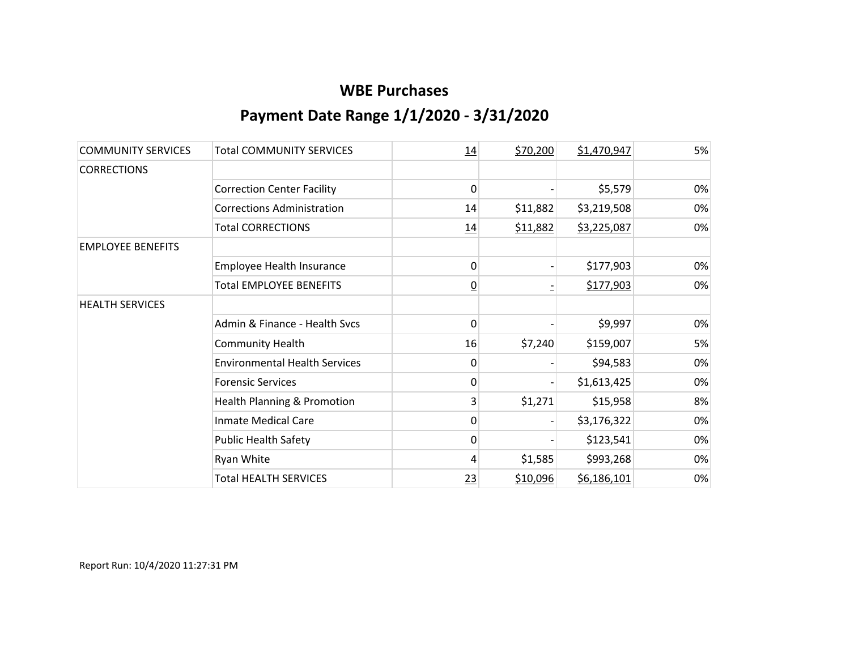| <b>COMMUNITY SERVICES</b> | <b>Total COMMUNITY SERVICES</b>        | 14             | \$70,200 | \$1,470,947 | 5% |
|---------------------------|----------------------------------------|----------------|----------|-------------|----|
| <b>CORRECTIONS</b>        |                                        |                |          |             |    |
|                           | <b>Correction Center Facility</b>      | 0              |          | \$5,579     | 0% |
|                           | <b>Corrections Administration</b>      | 14             | \$11,882 | \$3,219,508 | 0% |
|                           | <b>Total CORRECTIONS</b>               | 14             | \$11,882 | \$3,225,087 | 0% |
| <b>EMPLOYEE BENEFITS</b>  |                                        |                |          |             |    |
|                           | Employee Health Insurance              | 0              |          | \$177,903   | 0% |
|                           | <b>Total EMPLOYEE BENEFITS</b>         | $\overline{0}$ |          | \$177,903   | 0% |
| <b>HEALTH SERVICES</b>    |                                        |                |          |             |    |
|                           | Admin & Finance - Health Svcs          | 0              |          | \$9,997     | 0% |
|                           | <b>Community Health</b>                | 16             | \$7,240  | \$159,007   | 5% |
|                           | <b>Environmental Health Services</b>   | 0              |          | \$94,583    | 0% |
|                           | <b>Forensic Services</b>               | 0              |          | \$1,613,425 | 0% |
|                           | <b>Health Planning &amp; Promotion</b> | 3              | \$1,271  | \$15,958    | 8% |
|                           | <b>Inmate Medical Care</b>             | 0              |          | \$3,176,322 | 0% |
|                           | <b>Public Health Safety</b>            | 0              |          | \$123,541   | 0% |
|                           | Ryan White                             | 4              | \$1,585  | \$993,268   | 0% |
|                           | <b>Total HEALTH SERVICES</b>           | 23             | \$10,096 | \$6,186,101 | 0% |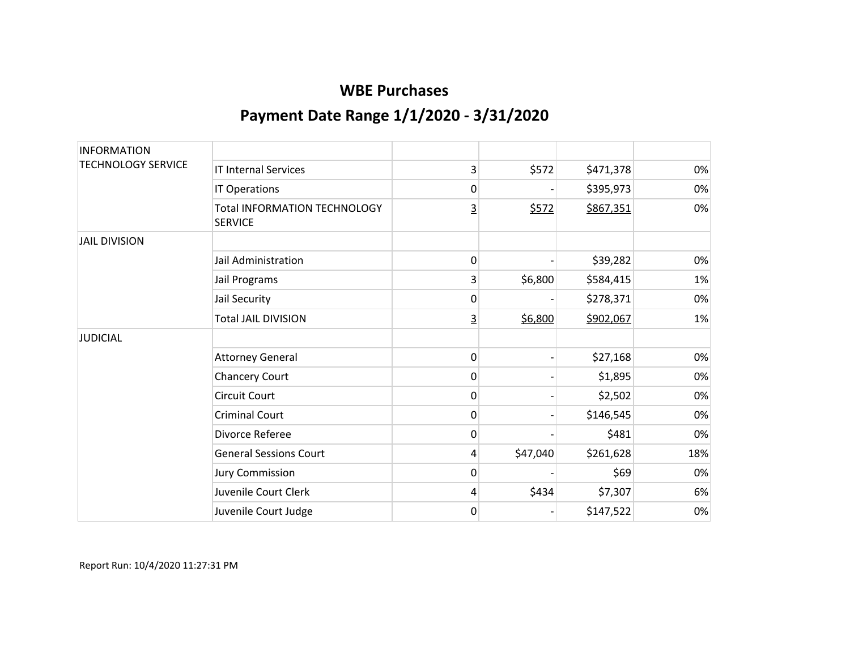| <b>INFORMATION</b>        |                                                       |          |          |           |     |
|---------------------------|-------------------------------------------------------|----------|----------|-----------|-----|
| <b>TECHNOLOGY SERVICE</b> | <b>IT Internal Services</b>                           | 3        | \$572    | \$471,378 | 0%  |
|                           | IT Operations                                         | 0        |          | \$395,973 | 0%  |
|                           | <b>Total INFORMATION TECHNOLOGY</b><br><b>SERVICE</b> | <u>3</u> | \$572    | \$867,351 | 0%  |
| <b>JAIL DIVISION</b>      |                                                       |          |          |           |     |
|                           | Jail Administration                                   | 0        |          | \$39,282  | 0%  |
|                           | Jail Programs                                         | 3        | \$6,800  | \$584,415 | 1%  |
|                           | Jail Security                                         | 0        |          | \$278,371 | 0%  |
|                           | <b>Total JAIL DIVISION</b>                            | <u>3</u> | \$6,800  | \$902,067 | 1%  |
| <b>JUDICIAL</b>           |                                                       |          |          |           |     |
|                           | <b>Attorney General</b>                               | 0        |          | \$27,168  | 0%  |
|                           | <b>Chancery Court</b>                                 | 0        |          | \$1,895   | 0%  |
|                           | <b>Circuit Court</b>                                  | 0        |          | \$2,502   | 0%  |
|                           | <b>Criminal Court</b>                                 | 0        |          | \$146,545 | 0%  |
|                           | Divorce Referee                                       | 0        |          | \$481     | 0%  |
|                           | <b>General Sessions Court</b>                         | 4        | \$47,040 | \$261,628 | 18% |
|                           | <b>Jury Commission</b>                                | 0        |          | \$69      | 0%  |
|                           | Juvenile Court Clerk                                  | 4        | \$434    | \$7,307   | 6%  |
|                           | Juvenile Court Judge                                  | 0        |          | \$147,522 | 0%  |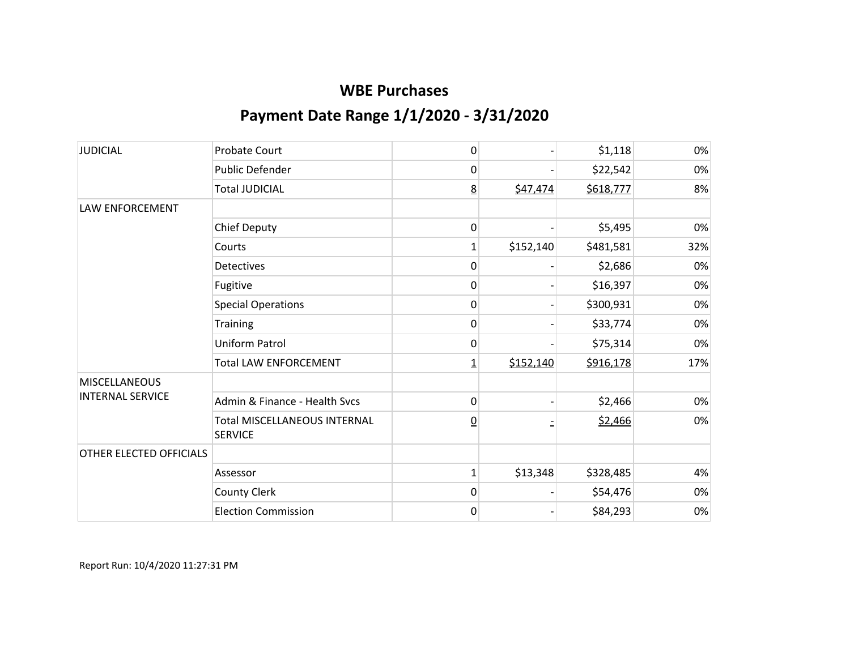| <b>JUDICIAL</b>         | <b>Probate Court</b>                                  | 0               |           | \$1,118   | 0%  |
|-------------------------|-------------------------------------------------------|-----------------|-----------|-----------|-----|
|                         | Public Defender                                       | 0               |           | \$22,542  | 0%  |
|                         | <b>Total JUDICIAL</b>                                 | <u>8</u>        | \$47,474  | \$618,777 | 8%  |
| <b>LAW ENFORCEMENT</b>  |                                                       |                 |           |           |     |
|                         | <b>Chief Deputy</b>                                   | 0               |           | \$5,495   | 0%  |
|                         | Courts                                                | 1               | \$152,140 | \$481,581 | 32% |
|                         | <b>Detectives</b>                                     | 0               |           | \$2,686   | 0%  |
|                         | Fugitive                                              | 0               |           | \$16,397  | 0%  |
|                         | <b>Special Operations</b>                             | 0               |           | \$300,931 | 0%  |
|                         | <b>Training</b>                                       | 0               |           | \$33,774  | 0%  |
|                         | <b>Uniform Patrol</b>                                 | 0               |           | \$75,314  | 0%  |
|                         | <b>Total LAW ENFORCEMENT</b>                          | $\overline{1}$  | \$152,140 | \$916,178 | 17% |
| <b>MISCELLANEOUS</b>    |                                                       |                 |           |           |     |
| <b>INTERNAL SERVICE</b> | Admin & Finance - Health Svcs                         | 0               |           | \$2,466   | 0%  |
|                         | <b>Total MISCELLANEOUS INTERNAL</b><br><b>SERVICE</b> | $\underline{0}$ |           | \$2,466   | 0%  |
| OTHER ELECTED OFFICIALS |                                                       |                 |           |           |     |
|                         | Assessor                                              | $\mathbf{1}$    | \$13,348  | \$328,485 | 4%  |
|                         | <b>County Clerk</b>                                   | 0               |           | \$54,476  | 0%  |
|                         | <b>Election Commission</b>                            | $\mathbf 0$     |           | \$84,293  | 0%  |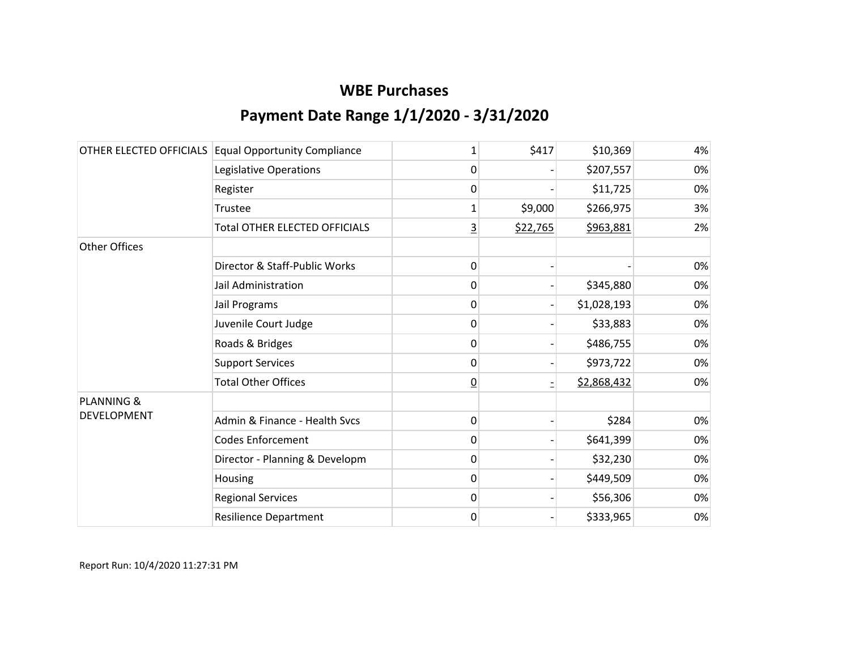|                       | OTHER ELECTED OFFICIALS Equal Opportunity Compliance | 1              | \$417    | \$10,369    | 4% |
|-----------------------|------------------------------------------------------|----------------|----------|-------------|----|
|                       | Legislative Operations                               | 0              |          | \$207,557   | 0% |
|                       | Register                                             | 0              |          | \$11,725    | 0% |
|                       | Trustee                                              | 1              | \$9,000  | \$266,975   | 3% |
|                       | <b>Total OTHER ELECTED OFFICIALS</b>                 | $\overline{3}$ | \$22,765 | \$963,881   | 2% |
| <b>Other Offices</b>  |                                                      |                |          |             |    |
|                       | Director & Staff-Public Works                        | 0              |          |             | 0% |
|                       | Jail Administration                                  | 0              |          | \$345,880   | 0% |
|                       | Jail Programs                                        | 0              |          | \$1,028,193 | 0% |
|                       | Juvenile Court Judge                                 | 0              |          | \$33,883    | 0% |
|                       | Roads & Bridges                                      | 0              |          | \$486,755   | 0% |
|                       | <b>Support Services</b>                              | 0              |          | \$973,722   | 0% |
|                       | <b>Total Other Offices</b>                           | $\overline{0}$ |          | \$2,868,432 | 0% |
| <b>PLANNING &amp;</b> |                                                      |                |          |             |    |
| <b>DEVELOPMENT</b>    | Admin & Finance - Health Sycs                        | 0              |          | \$284       | 0% |
|                       | <b>Codes Enforcement</b>                             | 0              |          | \$641,399   | 0% |
|                       | Director - Planning & Developm                       | 0              |          | \$32,230    | 0% |
|                       | Housing                                              | 0              |          | \$449,509   | 0% |
|                       | <b>Regional Services</b>                             | 0              |          | \$56,306    | 0% |
|                       | <b>Resilience Department</b>                         | 0              |          | \$333,965   | 0% |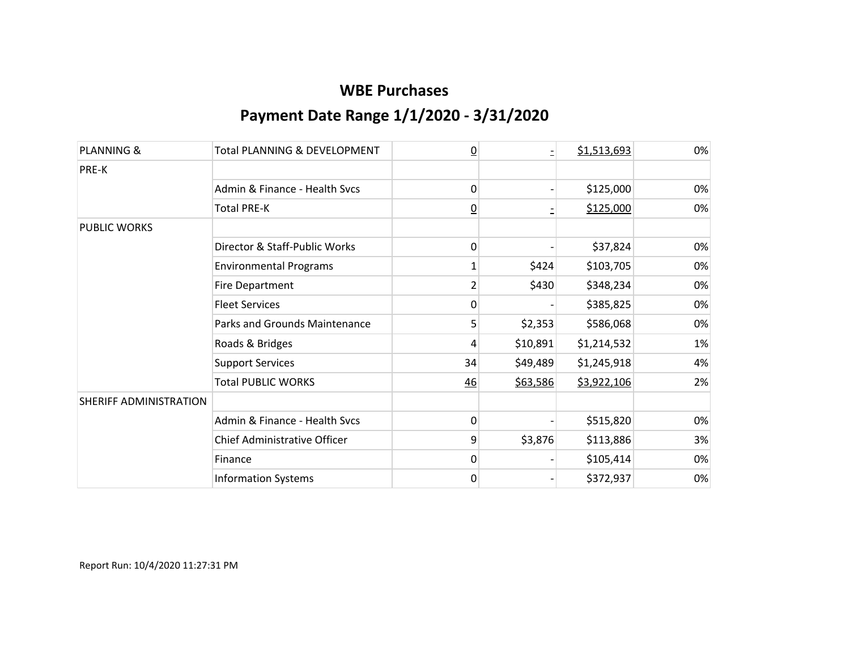| <b>PLANNING &amp;</b>  | <b>Total PLANNING &amp; DEVELOPMENT</b> | $\overline{0}$ |          | \$1,513,693 | 0% |
|------------------------|-----------------------------------------|----------------|----------|-------------|----|
| PRE-K                  |                                         |                |          |             |    |
|                        | Admin & Finance - Health Sycs           | 0              |          | \$125,000   | 0% |
|                        | <b>Total PRE-K</b>                      | $\overline{0}$ |          | \$125,000   | 0% |
| <b>PUBLIC WORKS</b>    |                                         |                |          |             |    |
|                        | Director & Staff-Public Works           | $\mathbf{0}$   |          | \$37,824    | 0% |
|                        | <b>Environmental Programs</b>           | 1              | \$424    | \$103,705   | 0% |
|                        | <b>Fire Department</b>                  | 2              | \$430    | \$348,234   | 0% |
|                        | <b>Fleet Services</b>                   | 0              |          | \$385,825   | 0% |
|                        | Parks and Grounds Maintenance           | 5              | \$2,353  | \$586,068   | 0% |
|                        | Roads & Bridges                         | 4              | \$10,891 | \$1,214,532 | 1% |
|                        | <b>Support Services</b>                 | 34             | \$49,489 | \$1,245,918 | 4% |
|                        | <b>Total PUBLIC WORKS</b>               | 46             | \$63,586 | \$3,922,106 | 2% |
| SHERIFF ADMINISTRATION |                                         |                |          |             |    |
|                        | Admin & Finance - Health Svcs           | 0              |          | \$515,820   | 0% |
|                        | Chief Administrative Officer            | 9              | \$3,876  | \$113,886   | 3% |
|                        | Finance                                 | $\mathbf{0}$   |          | \$105,414   | 0% |
|                        | <b>Information Systems</b>              | $\mathbf 0$    |          | \$372,937   | 0% |